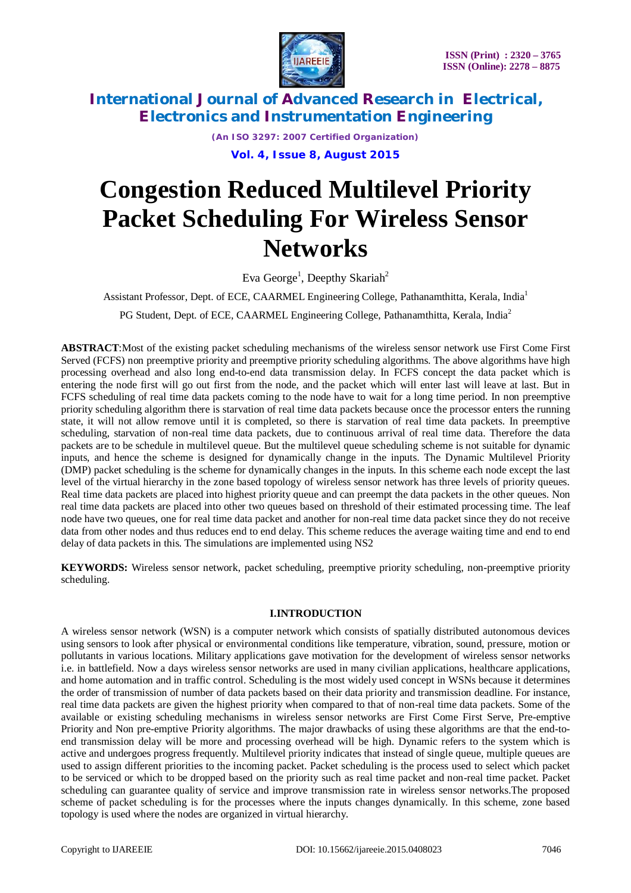

*(An ISO 3297: 2007 Certified Organization)*

**Vol. 4, Issue 8, August 2015**

# **Congestion Reduced Multilevel Priority Packet Scheduling For Wireless Sensor Networks**

Eva George<sup>1</sup>, Deepthy Skariah<sup>2</sup>

Assistant Professor, Dept. of ECE, CAARMEL Engineering College, Pathanamthitta, Kerala, India<sup>1</sup> PG Student, Dept. of ECE, CAARMEL Engineering College, Pathanamthitta, Kerala, India<sup>2</sup>

**ABSTRACT**:Most of the existing packet scheduling mechanisms of the wireless sensor network use First Come First Served (FCFS) non preemptive priority and preemptive priority scheduling algorithms. The above algorithms have high processing overhead and also long end-to-end data transmission delay. In FCFS concept the data packet which is entering the node first will go out first from the node, and the packet which will enter last will leave at last. But in FCFS scheduling of real time data packets coming to the node have to wait for a long time period. In non preemptive priority scheduling algorithm there is starvation of real time data packets because once the processor enters the running state, it will not allow remove until it is completed, so there is starvation of real time data packets. In preemptive scheduling, starvation of non-real time data packets, due to continuous arrival of real time data. Therefore the data packets are to be schedule in multilevel queue. But the multilevel queue scheduling scheme is not suitable for dynamic inputs, and hence the scheme is designed for dynamically change in the inputs. The Dynamic Multilevel Priority (DMP) packet scheduling is the scheme for dynamically changes in the inputs. In this scheme each node except the last level of the virtual hierarchy in the zone based topology of wireless sensor network has three levels of priority queues. Real time data packets are placed into highest priority queue and can preempt the data packets in the other queues. Non real time data packets are placed into other two queues based on threshold of their estimated processing time. The leaf node have two queues, one for real time data packet and another for non-real time data packet since they do not receive data from other nodes and thus reduces end to end delay. This scheme reduces the average waiting time and end to end delay of data packets in this. The simulations are implemented using NS2

**KEYWORDS:** Wireless sensor network, packet scheduling, preemptive priority scheduling, non-preemptive priority scheduling.

### **I.INTRODUCTION**

A wireless sensor network (WSN) is a computer network which consists of spatially distributed autonomous devices using sensors to look after physical or environmental conditions like temperature, vibration, sound, pressure, motion or pollutants in various locations. Military applications gave motivation for the development of wireless sensor networks i.e. in battlefield. Now a days wireless sensor networks are used in many civilian applications, healthcare applications, and home automation and in traffic control. Scheduling is the most widely used concept in WSNs because it determines the order of transmission of number of data packets based on their data priority and transmission deadline. For instance, real time data packets are given the highest priority when compared to that of non-real time data packets. Some of the available or existing scheduling mechanisms in wireless sensor networks are First Come First Serve, Pre-emptive Priority and Non pre-emptive Priority algorithms. The major drawbacks of using these algorithms are that the end-toend transmission delay will be more and processing overhead will be high. Dynamic refers to the system which is active and undergoes progress frequently. Multilevel priority indicates that instead of single queue, multiple queues are used to assign different priorities to the incoming packet. Packet scheduling is the process used to select which packet to be serviced or which to be dropped based on the priority such as real time packet and non-real time packet. Packet scheduling can guarantee quality of service and improve transmission rate in wireless sensor networks.The proposed scheme of packet scheduling is for the processes where the inputs changes dynamically. In this scheme, zone based topology is used where the nodes are organized in virtual hierarchy.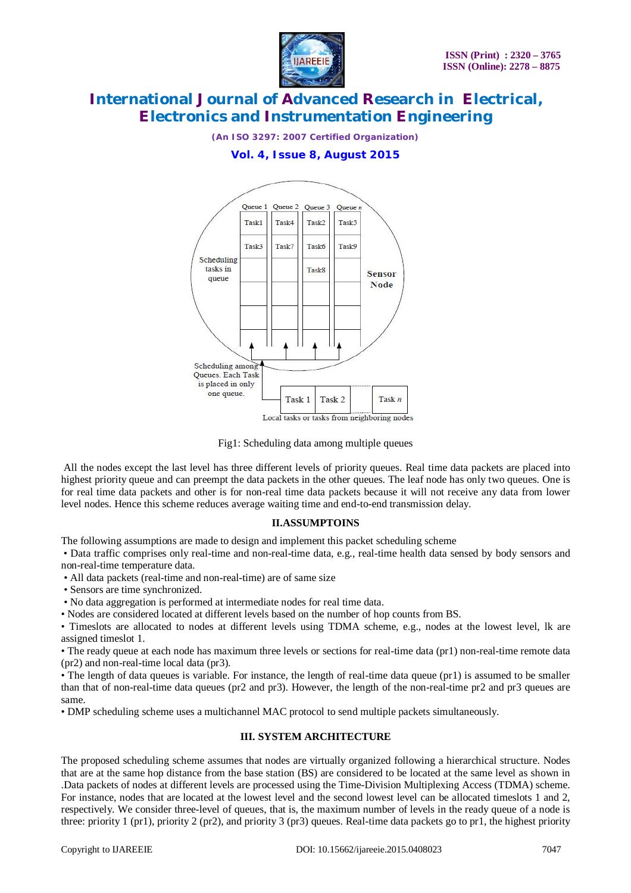

*(An ISO 3297: 2007 Certified Organization)*

#### **Vol. 4, Issue 8, August 2015**



Fig1: Scheduling data among multiple queues

All the nodes except the last level has three different levels of priority queues. Real time data packets are placed into highest priority queue and can preempt the data packets in the other queues. The leaf node has only two queues. One is for real time data packets and other is for non-real time data packets because it will not receive any data from lower level nodes. Hence this scheme reduces average waiting time and end-to-end transmission delay.

#### **II.ASSUMPTOINS**

The following assumptions are made to design and implement this packet scheduling scheme

• Data traffic comprises only real-time and non-real-time data, e.g., real-time health data sensed by body sensors and non-real-time temperature data.

• All data packets (real-time and non-real-time) are of same size

• Sensors are time synchronized.

• No data aggregation is performed at intermediate nodes for real time data.

• Nodes are considered located at different levels based on the number of hop counts from BS.

• Timeslots are allocated to nodes at different levels using TDMA scheme, e.g., nodes at the lowest level, lk are assigned timeslot 1.

• The ready queue at each node has maximum three levels or sections for real-time data (pr1) non-real-time remote data (pr2) and non-real-time local data (pr3).

• The length of data queues is variable. For instance, the length of real-time data queue (pr1) is assumed to be smaller than that of non-real-time data queues (pr2 and pr3). However, the length of the non-real-time pr2 and pr3 queues are same.

• DMP scheduling scheme uses a multichannel MAC protocol to send multiple packets simultaneously.

### **III. SYSTEM ARCHITECTURE**

The proposed scheduling scheme assumes that nodes are virtually organized following a hierarchical structure. Nodes that are at the same hop distance from the base station (BS) are considered to be located at the same level as shown in .Data packets of nodes at different levels are processed using the Time-Division Multiplexing Access (TDMA) scheme. For instance, nodes that are located at the lowest level and the second lowest level can be allocated timeslots 1 and 2, respectively. We consider three-level of queues, that is, the maximum number of levels in the ready queue of a node is three: priority 1 (pr1), priority 2 (pr2), and priority 3 (pr3) queues. Real-time data packets go to pr1, the highest priority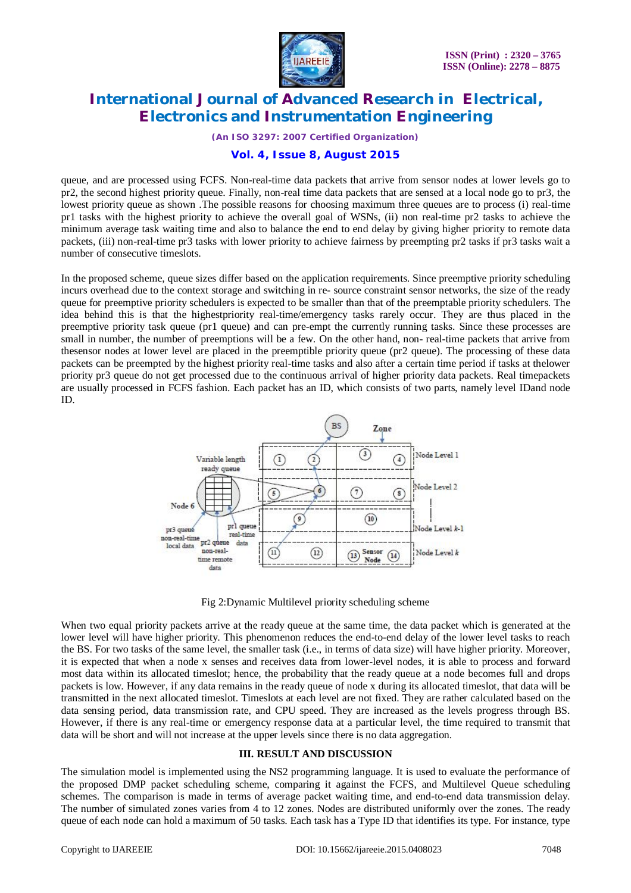

*(An ISO 3297: 2007 Certified Organization)*

#### **Vol. 4, Issue 8, August 2015**

queue, and are processed using FCFS. Non-real-time data packets that arrive from sensor nodes at lower levels go to pr2, the second highest priority queue. Finally, non-real time data packets that are sensed at a local node go to pr3, the lowest priority queue as shown .The possible reasons for choosing maximum three queues are to process (i) real-time pr1 tasks with the highest priority to achieve the overall goal of WSNs, (ii) non real-time pr2 tasks to achieve the minimum average task waiting time and also to balance the end to end delay by giving higher priority to remote data packets, (iii) non-real-time pr3 tasks with lower priority to achieve fairness by preempting pr2 tasks if pr3 tasks wait a number of consecutive timeslots.

In the proposed scheme, queue sizes differ based on the application requirements. Since preemptive priority scheduling incurs overhead due to the context storage and switching in re- source constraint sensor networks, the size of the ready queue for preemptive priority schedulers is expected to be smaller than that of the preemptable priority schedulers. The idea behind this is that the highestpriority real-time/emergency tasks rarely occur. They are thus placed in the preemptive priority task queue (pr1 queue) and can pre-empt the currently running tasks. Since these processes are small in number, the number of preemptions will be a few. On the other hand, non- real-time packets that arrive from thesensor nodes at lower level are placed in the preemptible priority queue (pr2 queue). The processing of these data packets can be preempted by the highest priority real-time tasks and also after a certain time period if tasks at thelower priority pr3 queue do not get processed due to the continuous arrival of higher priority data packets. Real timepackets are usually processed in FCFS fashion. Each packet has an ID, which consists of two parts, namely level IDand node ID.



Fig 2:Dynamic Multilevel priority scheduling scheme

When two equal priority packets arrive at the ready queue at the same time, the data packet which is generated at the lower level will have higher priority. This phenomenon reduces the end-to-end delay of the lower level tasks to reach the BS. For two tasks of the same level, the smaller task (i.e., in terms of data size) will have higher priority. Moreover, it is expected that when a node x senses and receives data from lower-level nodes, it is able to process and forward most data within its allocated timeslot; hence, the probability that the ready queue at a node becomes full and drops packets is low. However, if any data remains in the ready queue of node x during its allocated timeslot, that data will be transmitted in the next allocated timeslot. Timeslots at each level are not fixed. They are rather calculated based on the data sensing period, data transmission rate, and CPU speed. They are increased as the levels progress through BS. However, if there is any real-time or emergency response data at a particular level, the time required to transmit that data will be short and will not increase at the upper levels since there is no data aggregation.

#### **III. RESULT AND DISCUSSION**

The simulation model is implemented using the NS2 programming language. It is used to evaluate the performance of the proposed DMP packet scheduling scheme, comparing it against the FCFS, and Multilevel Queue scheduling schemes. The comparison is made in terms of average packet waiting time, and end-to-end data transmission delay. The number of simulated zones varies from 4 to 12 zones. Nodes are distributed uniformly over the zones. The ready queue of each node can hold a maximum of 50 tasks. Each task has a Type ID that identifies its type. For instance, type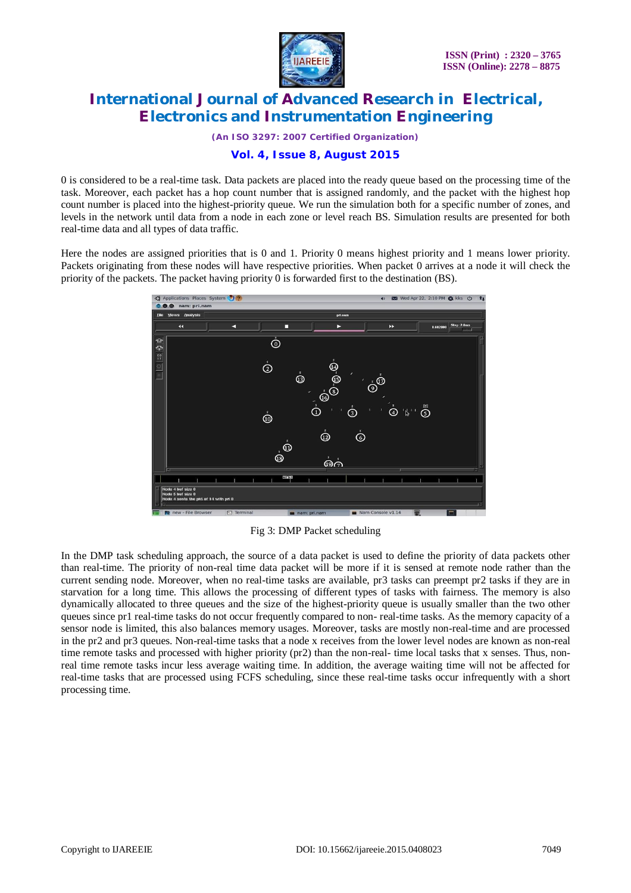

*(An ISO 3297: 2007 Certified Organization)*

### **Vol. 4, Issue 8, August 2015**

0 is considered to be a real-time task. Data packets are placed into the ready queue based on the processing time of the task. Moreover, each packet has a hop count number that is assigned randomly, and the packet with the highest hop count number is placed into the highest-priority queue. We run the simulation both for a specific number of zones, and levels in the network until data from a node in each zone or level reach BS. Simulation results are presented for both real-time data and all types of data traffic.

Here the nodes are assigned priorities that is 0 and 1. Priority 0 means highest priority and 1 means lower priority. Packets originating from these nodes will have respective priorities. When packet 0 arrives at a node it will check the priority of the packets. The packet having priority 0 is forwarded first to the destination (BS).



Fig 3: DMP Packet scheduling

In the DMP task scheduling approach, the source of a data packet is used to define the priority of data packets other than real-time. The priority of non-real time data packet will be more if it is sensed at remote node rather than the current sending node. Moreover, when no real-time tasks are available, pr3 tasks can preempt pr2 tasks if they are in starvation for a long time. This allows the processing of different types of tasks with fairness. The memory is also dynamically allocated to three queues and the size of the highest-priority queue is usually smaller than the two other queues since pr1 real-time tasks do not occur frequently compared to non- real-time tasks. As the memory capacity of a sensor node is limited, this also balances memory usages. Moreover, tasks are mostly non-real-time and are processed in the pr2 and pr3 queues. Non-real-time tasks that a node x receives from the lower level nodes are known as non-real time remote tasks and processed with higher priority (pr2) than the non-real- time local tasks that x senses. Thus, nonreal time remote tasks incur less average waiting time. In addition, the average waiting time will not be affected for real-time tasks that are processed using FCFS scheduling, since these real-time tasks occur infrequently with a short processing time.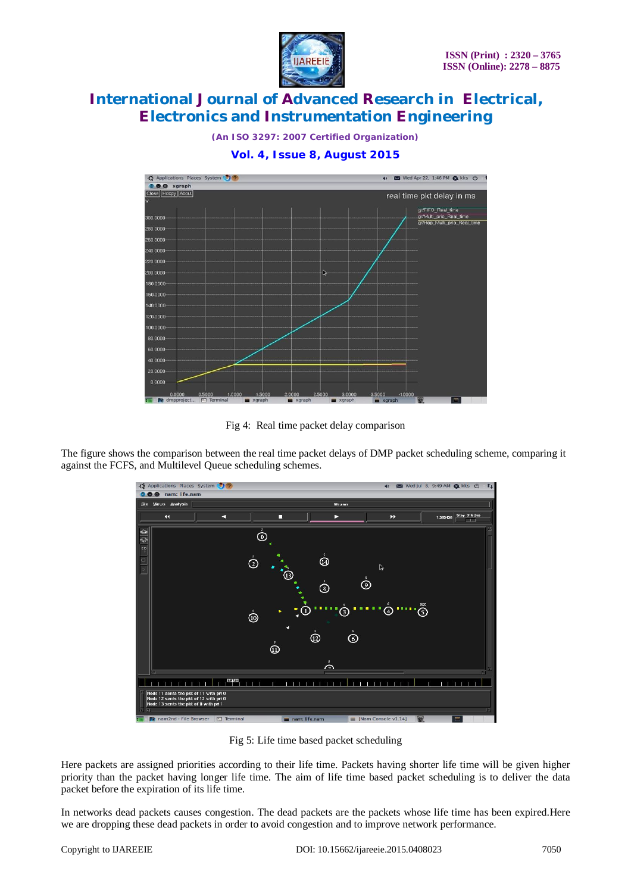

*(An ISO 3297: 2007 Certified Organization)*

#### **Vol. 4, Issue 8, August 2015**



Fig 4: Real time packet delay comparison

The figure shows the comparison between the real time packet delays of DMP packet scheduling scheme, comparing it against the FCFS, and Multilevel Queue scheduling schemes.



Fig 5: Life time based packet scheduling

Here packets are assigned priorities according to their life time. Packets having shorter life time will be given higher priority than the packet having longer life time. The aim of life time based packet scheduling is to deliver the data packet before the expiration of its life time.

In networks dead packets causes congestion. The dead packets are the packets whose life time has been expired.Here we are dropping these dead packets in order to avoid congestion and to improve network performance.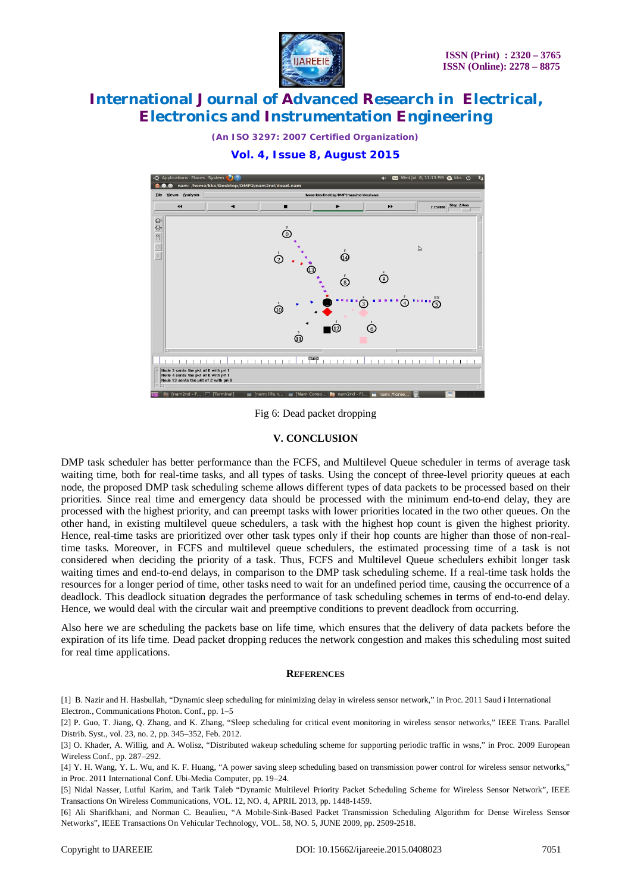

*(An ISO 3297: 2007 Certified Organization)*

**Vol. 4, Issue 8, August 2015**



Fig 6: Dead packet dropping

### **V. CONCLUSION**

DMP task scheduler has better performance than the FCFS, and Multilevel Queue scheduler in terms of average task waiting time, both for real-time tasks, and all types of tasks. Using the concept of three-level priority queues at each node, the proposed DMP task scheduling scheme allows different types of data packets to be processed based on their priorities. Since real time and emergency data should be processed with the minimum end-to-end delay, they are processed with the highest priority, and can preempt tasks with lower priorities located in the two other queues. On the other hand, in existing multilevel queue schedulers, a task with the highest hop count is given the highest priority. Hence, real-time tasks are prioritized over other task types only if their hop counts are higher than those of non-realtime tasks. Moreover, in FCFS and multilevel queue schedulers, the estimated processing time of a task is not considered when deciding the priority of a task. Thus, FCFS and Multilevel Queue schedulers exhibit longer task waiting times and end-to-end delays, in comparison to the DMP task scheduling scheme. If a real-time task holds the resources for a longer period of time, other tasks need to wait for an undefined period time, causing the occurrence of a deadlock. This deadlock situation degrades the performance of task scheduling schemes in terms of end-to-end delay. Hence, we would deal with the circular wait and preemptive conditions to prevent deadlock from occurring.

Also here we are scheduling the packets base on life time, which ensures that the delivery of data packets before the expiration of its life time. Dead packet dropping reduces the network congestion and makes this scheduling most suited for real time applications.

#### **REFERENCES**

[1] B. Nazir and H. Hasbullah, "Dynamic sleep scheduling for minimizing delay in wireless sensor network," in Proc. 2011 Saud i International Electron., Communications Photon. Conf., pp. 1–5

[2] P. Guo, T. Jiang, Q. Zhang, and K. Zhang, "Sleep scheduling for critical event monitoring in wireless sensor networks," IEEE Trans. Parallel Distrib. Syst., vol. 23, no. 2, pp. 345–352, Feb. 2012.

[5] Nidal Nasser, Lutful Karim, and Tarik Taleb "Dynamic Multilevel Priority Packet Scheduling Scheme for Wireless Sensor Network", IEEE Transactions On Wireless Communications, VOL. 12, NO. 4, APRIL 2013, pp. 1448-1459.

[6] Ali Sharifkhani, and Norman C. Beaulieu, "A Mobile-Sink-Based Packet Transmission Scheduling Algorithm for Dense Wireless Sensor Networks", IEEE Transactions On Vehicular Technology, VOL. 58, NO. 5, JUNE 2009, pp. 2509-2518.

<sup>[3]</sup> O. Khader, A. Willig, and A. Wolisz, "Distributed wakeup scheduling scheme for supporting periodic traffic in wsns," in Proc. 2009 European Wireless Conf., pp. 287–292.

<sup>[4]</sup> Y. H. Wang, Y. L. Wu, and K. F. Huang, "A power saving sleep scheduling based on transmission power control for wireless sensor networks," in Proc. 2011 International Conf. Ubi-Media Computer, pp. 19–24.